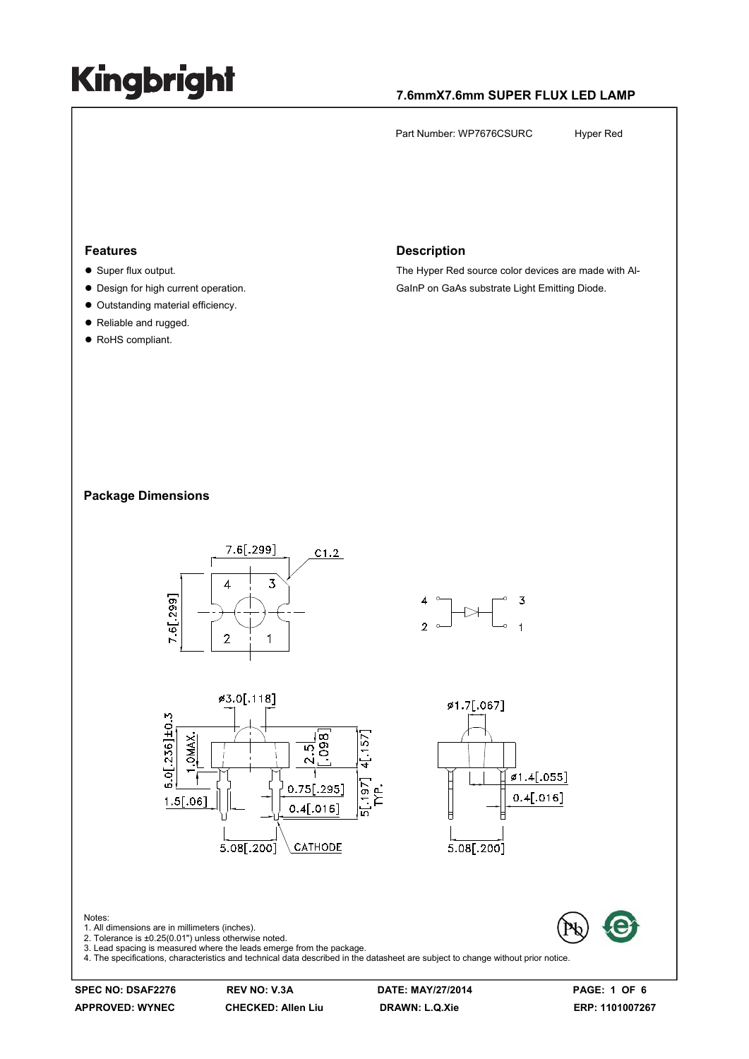#### **7.6mmX7.6mm SUPER FLUX LED LAMP**

Part Number: WP7676CSURC Hyper Red

#### **Features**

- $\bullet$  Super flux output.
- Design for high current operation.
- $\bullet$  Outstanding material efficiency.
- Reliable and rugged.
- RoHS compliant.

#### **Description**

The Hyper Red source color devices are made with Al-GaInP on GaAs substrate Light Emitting Diode.

#### **Package Dimensions**



**APPROVED: WYNEC CHECKED: Allen Liu DRAWN: L.Q.Xie ERP: 1101007267**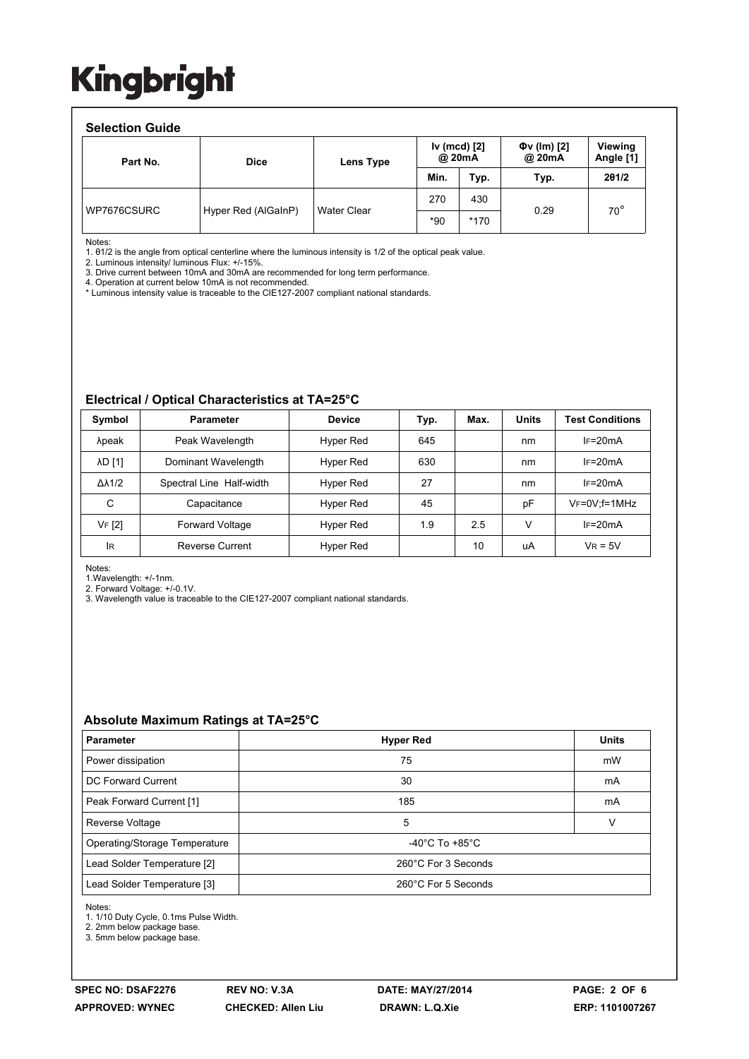#### **Selection Guide**  Part No.  $\qquad \qquad$  Dice  $\qquad \qquad$  Lens Type **Iv (mcd) [2] @ 20mA Φv (lm) [2] @ 20mA Viewing Angle [1] Min. Typ. Typ. 2θ1/2**  Hyper Red (AlGaInP) | Water Clear 270 430 0.29 70° \*90 \*170 WP7676CSURC

Notes:

1. θ1/2 is the angle from optical centerline where the luminous intensity is 1/2 of the optical peak value.

2. Luminous intensity/ luminous Flux: +/-15%.

3. Drive current between 10mA and 30mA are recommended for long term performance.

4. Operation at current below 10mA is not recommended.

\* Luminous intensity value is traceable to the CIE127-2007 compliant national standards.

#### **Electrical / Optical Characteristics at TA=25°C**

| Symbol              | <b>Parameter</b>         | <b>Device</b> | Typ. | Max. | <b>Units</b> | <b>Test Conditions</b> |
|---------------------|--------------------------|---------------|------|------|--------------|------------------------|
| λpeak               | Peak Wavelength          | Hyper Red     | 645  |      | nm           | $IF=20mA$              |
| <b>AD [1]</b>       | Dominant Wavelength      | Hyper Red     | 630  |      | nm           | $IF=20mA$              |
| $\Delta\lambda$ 1/2 | Spectral Line Half-width | Hyper Red     | 27   |      | nm           | $IF=20mA$              |
| C                   | Capacitance              | Hyper Red     | 45   |      | pF           | $V_F = 0V$ ; f = 1MHz  |
| VF [2]              | <b>Forward Voltage</b>   | Hyper Red     | 1.9  | 2.5  | v            | $IF=20mA$              |
| <b>IR</b>           | <b>Reverse Current</b>   | Hyper Red     |      | 10   | uA           | $V_R = 5V$             |

Notes:

1.Wavelength: +/-1nm.

2. Forward Voltage: +/-0.1V. 3. Wavelength value is traceable to the CIE127-2007 compliant national standards.

#### **Absolute Maximum Ratings at TA=25°C**

| <b>Parameter</b>              | <b>Hyper Red</b>                   | <b>Units</b> |  |  |
|-------------------------------|------------------------------------|--------------|--|--|
| Power dissipation             | 75                                 | mW           |  |  |
| DC Forward Current            | 30                                 | mA           |  |  |
| Peak Forward Current [1]      | 185                                | mA           |  |  |
| Reverse Voltage               | 5                                  | v            |  |  |
| Operating/Storage Temperature | $-40^{\circ}$ C To $+85^{\circ}$ C |              |  |  |
| Lead Solder Temperature [2]   | 260°C For 3 Seconds                |              |  |  |
| Lead Solder Temperature [3]   | 260°C For 5 Seconds                |              |  |  |

Notes:

1. 1/10 Duty Cycle, 0.1ms Pulse Width.

2. 2mm below package base.

3. 5mm below package base.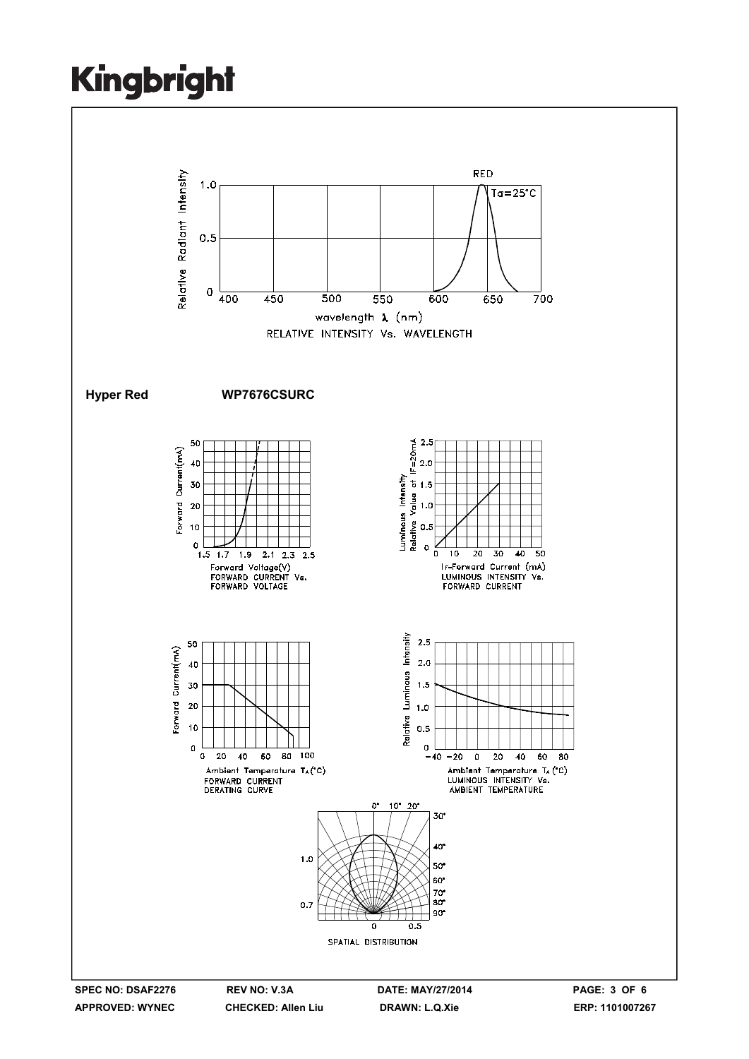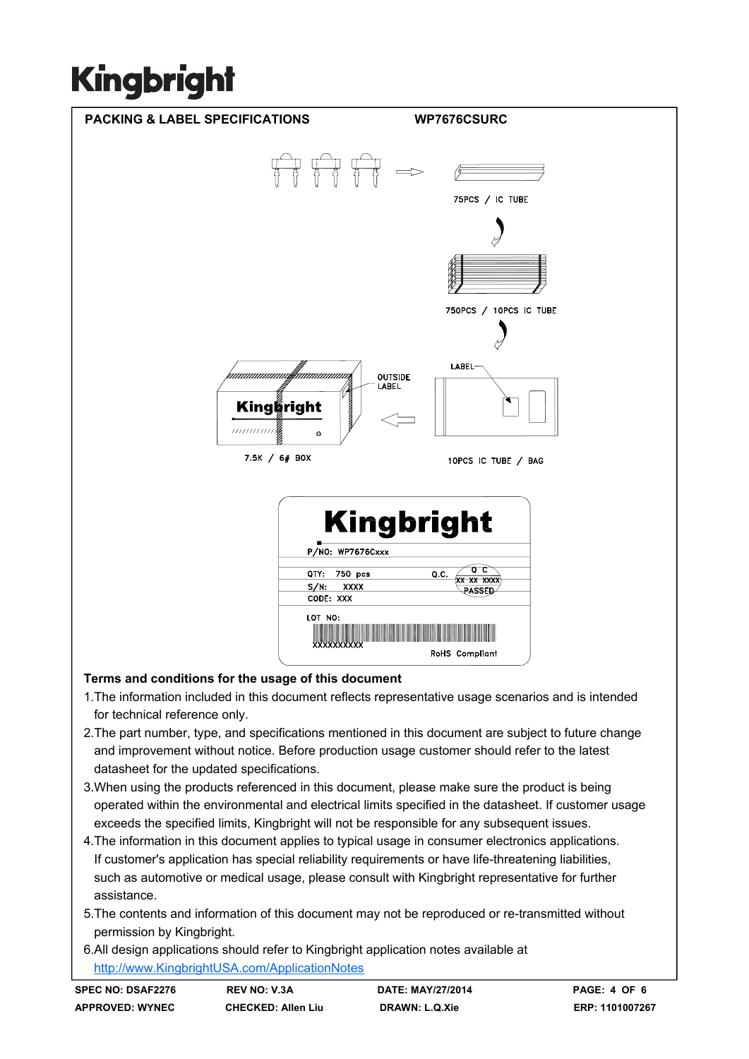

- 1.The information included in this document reflects representative usage scenarios and is intended for technical reference only.
- 2.The part number, type, and specifications mentioned in this document are subject to future change and improvement without notice. Before production usage customer should refer to the latest datasheet for the updated specifications.
- 3.When using the products referenced in this document, please make sure the product is being operated within the environmental and electrical limits specified in the datasheet. If customer usage exceeds the specified limits, Kingbright will not be responsible for any subsequent issues.
- 4.The information in this document applies to typical usage in consumer electronics applications. If customer's application has special reliability requirements or have life-threatening liabilities, such as automotive or medical usage, please consult with Kingbright representative for further assistance.
- 5.The contents and information of this document may not be reproduced or re-transmitted without permission by Kingbright.
- 6.All design applications should refer to Kingbright application notes available at http://www.KingbrightUSA.com/ApplicationNotes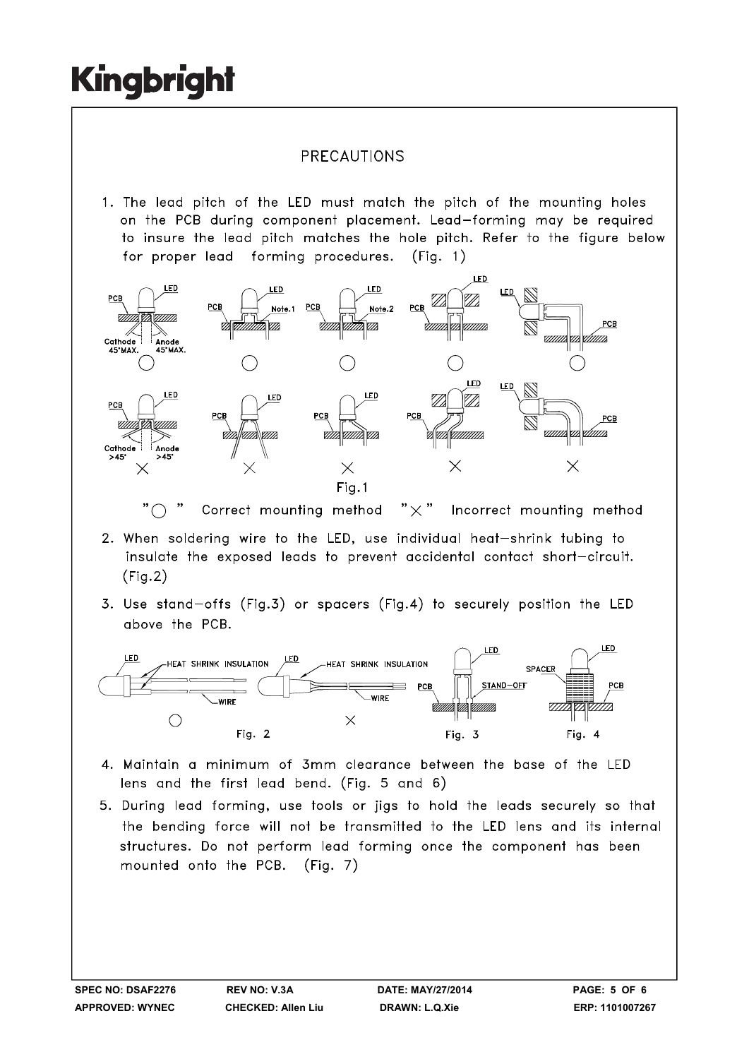### PRECAUTIONS

1. The lead pitch of the LED must match the pitch of the mounting holes on the PCB during component placement. Lead-forming may be required to insure the lead pitch matches the hole pitch. Refer to the figure below for proper lead forming procedures.  $(Fia. 1)$ 



" $\bigcap$ Correct mounting method  $" \times"$ Incorrect mounting method

- 2. When soldering wire to the LED, use individual heat-shrink tubing to insulate the exposed leads to prevent accidental contact short-circuit.  $(Fig.2)$
- 3. Use stand-offs (Fig.3) or spacers (Fig.4) to securely position the LED above the PCB.



- 4. Maintain a minimum of 3mm clearance between the base of the LED lens and the first lead bend. (Fig. 5 and 6)
- 5. During lead forming, use tools or jigs to hold the leads securely so that the bending force will not be transmitted to the LED lens and its internal structures. Do not perform lead forming once the component has been mounted onto the PCB. (Fig. 7)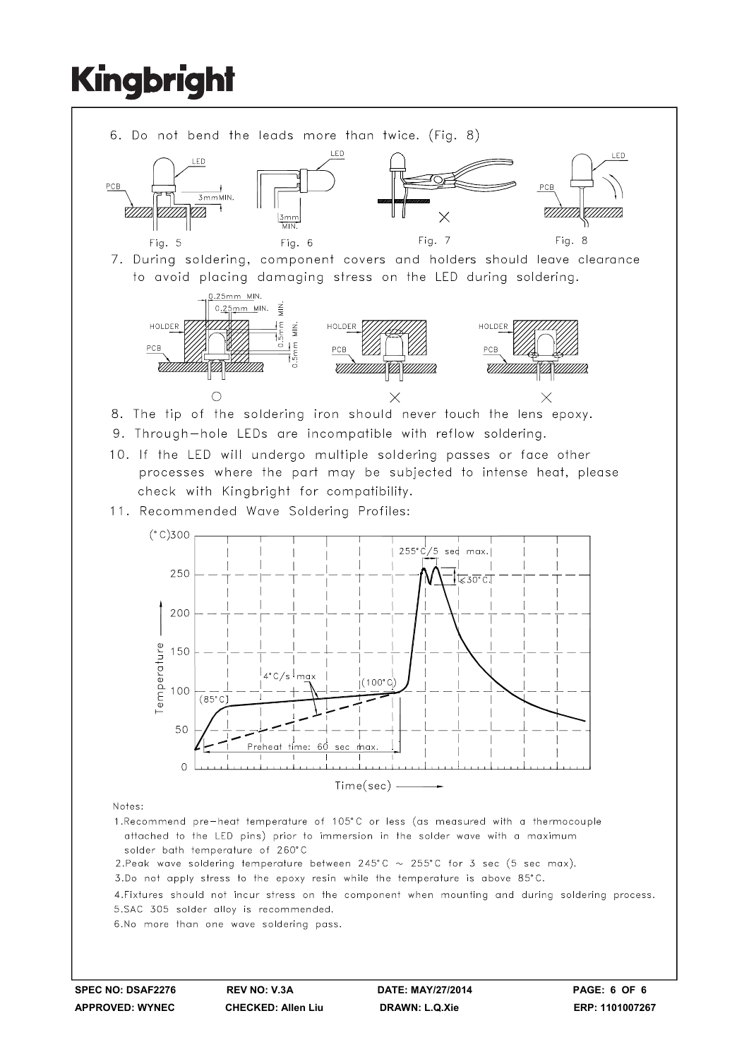